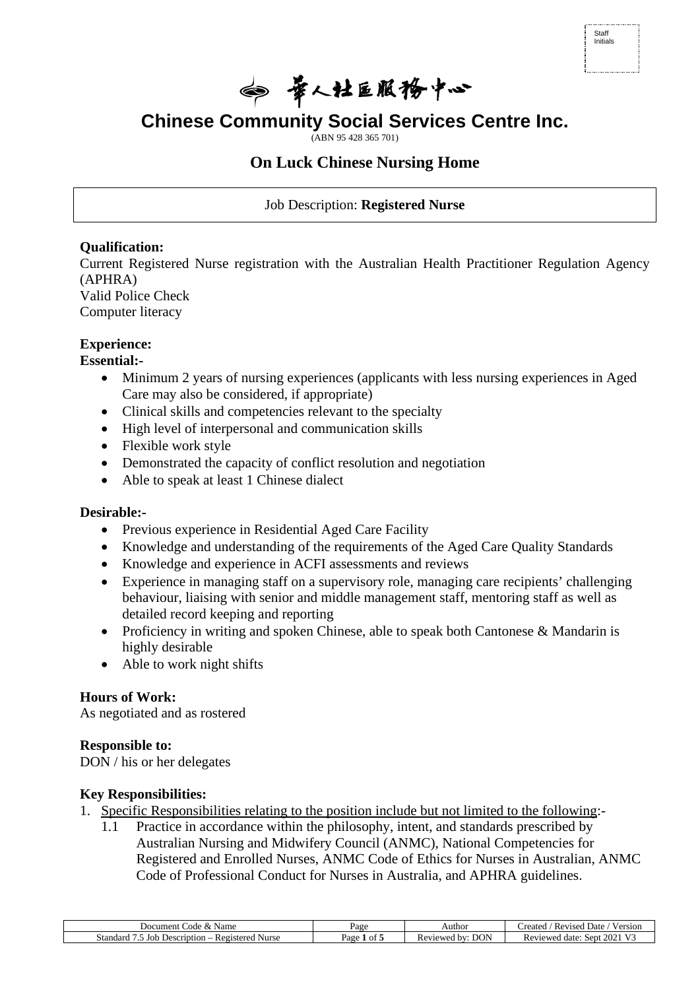| Staff<br>Initials |  |  |
|-------------------|--|--|
|                   |  |  |

◎ 景人社巨服務中心

**Chinese Community Social Services Centre Inc.**

(ABN 95 428 365 701)

# **On Luck Chinese Nursing Home**

Job Description: **Registered Nurse** 

# **Qualification:**

Current Registered Nurse registration with the Australian Health Practitioner Regulation Agency (APHRA)

Valid Police Check Computer literacy

## **Experience:**

**Essential:-**

- Minimum 2 years of nursing experiences (applicants with less nursing experiences in Aged Care may also be considered, if appropriate)
- Clinical skills and competencies relevant to the specialty
- High level of interpersonal and communication skills
- Flexible work style
- Demonstrated the capacity of conflict resolution and negotiation
- Able to speak at least 1 Chinese dialect

# **Desirable:-**

- Previous experience in Residential Aged Care Facility
- Knowledge and understanding of the requirements of the Aged Care Quality Standards
- Knowledge and experience in ACFI assessments and reviews
- Experience in managing staff on a supervisory role, managing care recipients' challenging behaviour, liaising with senior and middle management staff, mentoring staff as well as detailed record keeping and reporting
- Proficiency in writing and spoken Chinese, able to speak both Cantonese & Mandarin is highly desirable
- Able to work night shifts

# **Hours of Work:**

As negotiated and as rostered

#### **Responsible to:**

DON / his or her delegates

# **Key Responsibilities:**

- 1. Specific Responsibilities relating to the position include but not limited to the following:-
	- 1.1 Practice in accordance within the philosophy, intent, and standards prescribed by Australian Nursing and Midwifery Council (ANMC), National Competencies for Registered and Enrolled Nurses, ANMC Code of Ethics for Nurses in Australian, ANMC Code of Professional Conduct for Nurses in Australia, and APHRA guidelines.

| Name<br>Jocument<br>Code<br>$\sim$                           | Page       | Authoi                                               | $\sim$ $\sim$<br>'reated<br>$V \alpha r c$<br>Date.<br>Revised<br>°S1OF |
|--------------------------------------------------------------|------------|------------------------------------------------------|-------------------------------------------------------------------------|
| Standard<br>eription<br>Nurse<br>Jor<br>Registerer<br>. Jesc | οt<br>yage | <b>DON</b><br>. hv<br>viewed<br><b>Rev</b><br>$\sim$ | $\Delta \Omega$<br>Reviewed<br>Sept<br>date<br>ZUZ                      |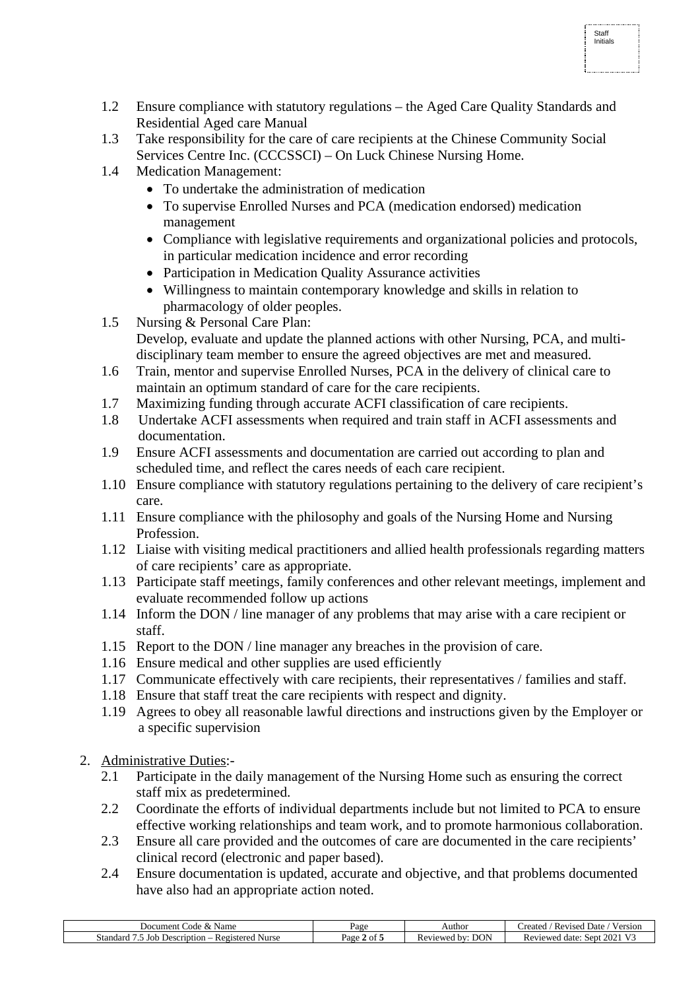- 1.2 Ensure compliance with statutory regulations the Aged Care Quality Standards and Residential Aged care Manual
- 1.3 Take responsibility for the care of care recipients at the Chinese Community Social Services Centre Inc. (CCCSSCI) – On Luck Chinese Nursing Home.
- 1.4 Medication Management:
	- To undertake the administration of medication
	- To supervise Enrolled Nurses and PCA (medication endorsed) medication management
	- Compliance with legislative requirements and organizational policies and protocols, in particular medication incidence and error recording

Staff Initials

- Participation in Medication Quality Assurance activities
- Willingness to maintain contemporary knowledge and skills in relation to pharmacology of older peoples.
- 1.5 Nursing & Personal Care Plan: Develop, evaluate and update the planned actions with other Nursing, PCA, and multidisciplinary team member to ensure the agreed objectives are met and measured.
- 1.6 Train, mentor and supervise Enrolled Nurses, PCA in the delivery of clinical care to maintain an optimum standard of care for the care recipients.
- 1.7 Maximizing funding through accurate ACFI classification of care recipients.
- 1.8 Undertake ACFI assessments when required and train staff in ACFI assessments and documentation.
- 1.9 Ensure ACFI assessments and documentation are carried out according to plan and scheduled time, and reflect the cares needs of each care recipient.
- 1.10 Ensure compliance with statutory regulations pertaining to the delivery of care recipient's care.
- 1.11 Ensure compliance with the philosophy and goals of the Nursing Home and Nursing Profession.
- 1.12 Liaise with visiting medical practitioners and allied health professionals regarding matters of care recipients' care as appropriate.
- 1.13 Participate staff meetings, family conferences and other relevant meetings, implement and evaluate recommended follow up actions
- 1.14 Inform the DON / line manager of any problems that may arise with a care recipient or staff.
- 1.15 Report to the DON / line manager any breaches in the provision of care.
- 1.16 Ensure medical and other supplies are used efficiently
- 1.17 Communicate effectively with care recipients, their representatives / families and staff.
- 1.18 Ensure that staff treat the care recipients with respect and dignity.
- 1.19 Agrees to obey all reasonable lawful directions and instructions given by the Employer or a specific supervision
- 2. Administrative Duties:-
	- 2.1 Participate in the daily management of the Nursing Home such as ensuring the correct staff mix as predetermined.
	- 2.2 Coordinate the efforts of individual departments include but not limited to PCA to ensure effective working relationships and team work, and to promote harmonious collaboration.
	- 2.3 Ensure all care provided and the outcomes of care are documented in the care recipients' clinical record (electronic and paper based).
	- 2.4 Ensure documentation is updated, accurate and objective, and that problems documented have also had an appropriate action noted.

| Name<br>Code<br>cument<br>JOG<br>œ                                  | Page         | Author                          | reateo<br>Date<br>$V \alpha r c$<br>Revised<br>∕ ersior |
|---------------------------------------------------------------------|--------------|---------------------------------|---------------------------------------------------------|
| Joh<br>Regi<br><b>Nurse</b><br>Standar<br>Description<br>tered<br>. | Page<br>ot : | $\cap$<br>hv<br>Reviewed<br>DUI | $\mathcal{Q}$<br>Reviewed<br>Sept<br>date.<br>202       |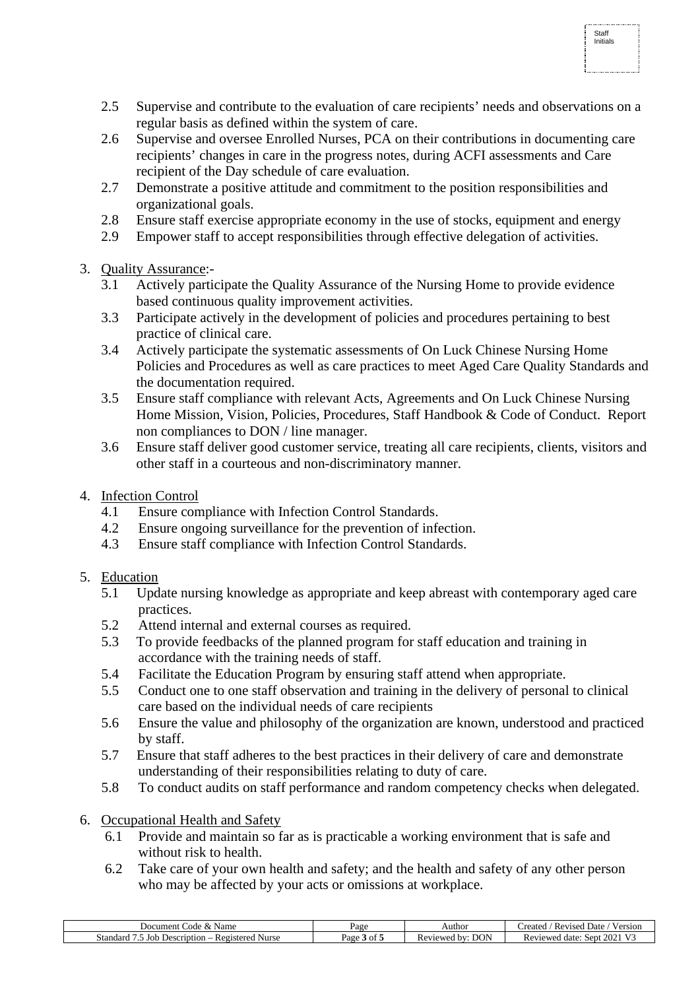2.5 Supervise and contribute to the evaluation of care recipients' needs and observations on a regular basis as defined within the system of care.

Staff Initials

- 2.6 Supervise and oversee Enrolled Nurses, PCA on their contributions in documenting care recipients' changes in care in the progress notes, during ACFI assessments and Care recipient of the Day schedule of care evaluation.
- 2.7 Demonstrate a positive attitude and commitment to the position responsibilities and organizational goals.
- 2.8 Ensure staff exercise appropriate economy in the use of stocks, equipment and energy
- 2.9 Empower staff to accept responsibilities through effective delegation of activities.
- 3. Quality Assurance:-
	- 3.1 Actively participate the Quality Assurance of the Nursing Home to provide evidence based continuous quality improvement activities.
	- 3.3 Participate actively in the development of policies and procedures pertaining to best practice of clinical care.
	- 3.4 Actively participate the systematic assessments of On Luck Chinese Nursing Home Policies and Procedures as well as care practices to meet Aged Care Quality Standards and the documentation required.
	- 3.5 Ensure staff compliance with relevant Acts, Agreements and On Luck Chinese Nursing Home Mission, Vision, Policies, Procedures, Staff Handbook & Code of Conduct. Report non compliances to DON / line manager.
	- 3.6 Ensure staff deliver good customer service, treating all care recipients, clients, visitors and other staff in a courteous and non-discriminatory manner.
- 4. Infection Control
	- 4.1 Ensure compliance with Infection Control Standards.
	- 4.2 Ensure ongoing surveillance for the prevention of infection.
	- 4.3 Ensure staff compliance with Infection Control Standards.
- 5. Education
	- 5.1 Update nursing knowledge as appropriate and keep abreast with contemporary aged care practices.
	- 5.2 Attend internal and external courses as required.
	- 5.3 To provide feedbacks of the planned program for staff education and training in accordance with the training needs of staff.
	- 5.4 Facilitate the Education Program by ensuring staff attend when appropriate.
	- 5.5 Conduct one to one staff observation and training in the delivery of personal to clinical care based on the individual needs of care recipients
	- 5.6 Ensure the value and philosophy of the organization are known, understood and practiced by staff.
	- 5.7 Ensure that staff adheres to the best practices in their delivery of care and demonstrate understanding of their responsibilities relating to duty of care.
	- 5.8 To conduct audits on staff performance and random competency checks when delegated.
- 6. Occupational Health and Safety
	- 6.1 Provide and maintain so far as is practicable a working environment that is safe and without risk to health.
	- 6.2 Take care of your own health and safety; and the health and safety of any other person who may be affected by your acts or omissions at workplace.

| Name<br>Jocument<br>Code<br>$\sim$                           | Page                              | Authoi                                               | $\sim$ $\sim$<br>'reated<br>$V \alpha r c$<br>Date.<br>Revised<br>°S1OF |
|--------------------------------------------------------------|-----------------------------------|------------------------------------------------------|-------------------------------------------------------------------------|
| Standard<br>eription<br>Nurse<br>Jor<br>Registerer<br>. Jesc | ОĪ<br>$v_{\text{age}}$<br>$\cdot$ | <b>DON</b><br>. hv<br>viewed<br><b>Rev</b><br>$\sim$ | $\Delta \Omega$<br>Reviewer<br>Sept<br>date<br>ZUZ                      |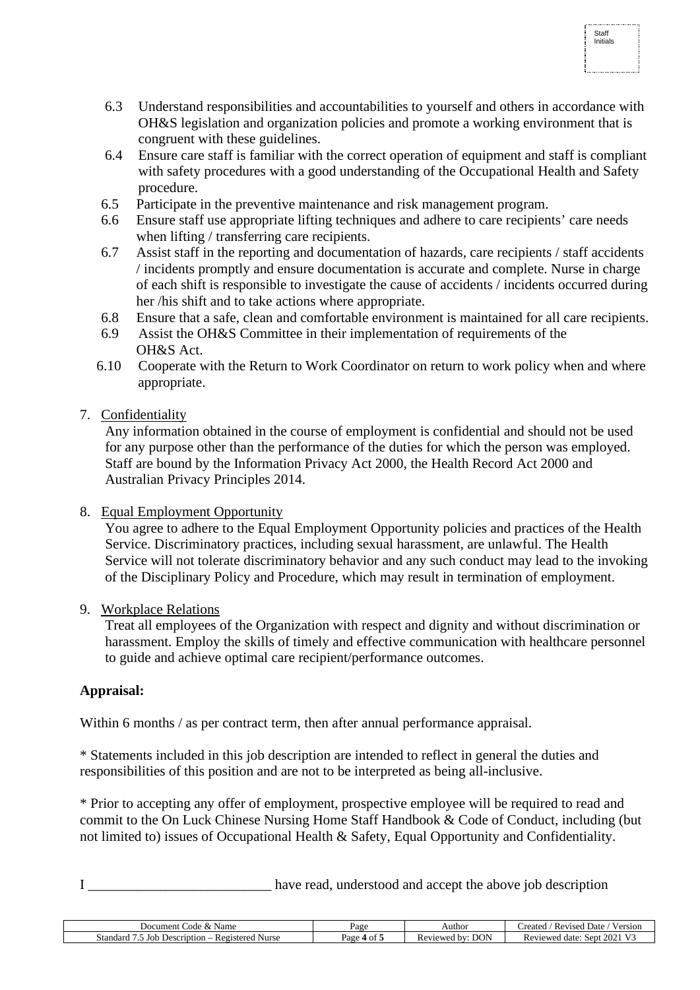6.3 Understand responsibilities and accountabilities to yourself and others in accordance with OH&S legislation and organization policies and promote a working environment that is congruent with these guidelines.

Staff Initials

- 6.4 Ensure care staff is familiar with the correct operation of equipment and staff is compliant with safety procedures with a good understanding of the Occupational Health and Safety procedure.
- 6.5 Participate in the preventive maintenance and risk management program.
- 6.6 Ensure staff use appropriate lifting techniques and adhere to care recipients' care needs when lifting / transferring care recipients.
- 6.7 Assist staff in the reporting and documentation of hazards, care recipients / staff accidents / incidents promptly and ensure documentation is accurate and complete. Nurse in charge of each shift is responsible to investigate the cause of accidents / incidents occurred during her /his shift and to take actions where appropriate.
- 6.8 Ensure that a safe, clean and comfortable environment is maintained for all care recipients.
- 6.9 Assist the OH&S Committee in their implementation of requirements of the OH&S Act.
- 6.10 Cooperate with the Return to Work Coordinator on return to work policy when and where appropriate.

## 7. Confidentiality

 Any information obtained in the course of employment is confidential and should not be used for any purpose other than the performance of the duties for which the person was employed. Staff are bound by the Information Privacy Act 2000, the Health Record Act 2000 and Australian Privacy Principles 2014.

#### 8. Equal Employment Opportunity

 You agree to adhere to the Equal Employment Opportunity policies and practices of the Health Service. Discriminatory practices, including sexual harassment, are unlawful. The Health Service will not tolerate discriminatory behavior and any such conduct may lead to the invoking of the Disciplinary Policy and Procedure, which may result in termination of employment.

#### 9. Workplace Relations

 Treat all employees of the Organization with respect and dignity and without discrimination or harassment. Employ the skills of timely and effective communication with healthcare personnel to guide and achieve optimal care recipient/performance outcomes.

#### **Appraisal:**

Within 6 months / as per contract term, then after annual performance appraisal.

\* Statements included in this job description are intended to reflect in general the duties and responsibilities of this position and are not to be interpreted as being all-inclusive.

\* Prior to accepting any offer of employment, prospective employee will be required to read and commit to the On Luck Chinese Nursing Home Staff Handbook & Code of Conduct, including (but not limited to) issues of Occupational Health & Safety, Equal Opportunity and Confidentiality.

I have read, understood and accept the above job description

| Name<br>Code<br>Document<br>$\alpha$                  | Page       | Author                       | 1 w 1<br>--<br>Date<br>reated<br>version<br>Revised                      |
|-------------------------------------------------------|------------|------------------------------|--------------------------------------------------------------------------|
| Standard<br>Joh<br>Description<br>Nurse<br>Registered | Page<br>ОĪ | <b>DON</b><br>hv<br>Reviewer | $\mathbf{v}$<br>$\sim$ $\sim$ $\sim$<br>Reviewed<br>Sept.<br>date<br>202 |